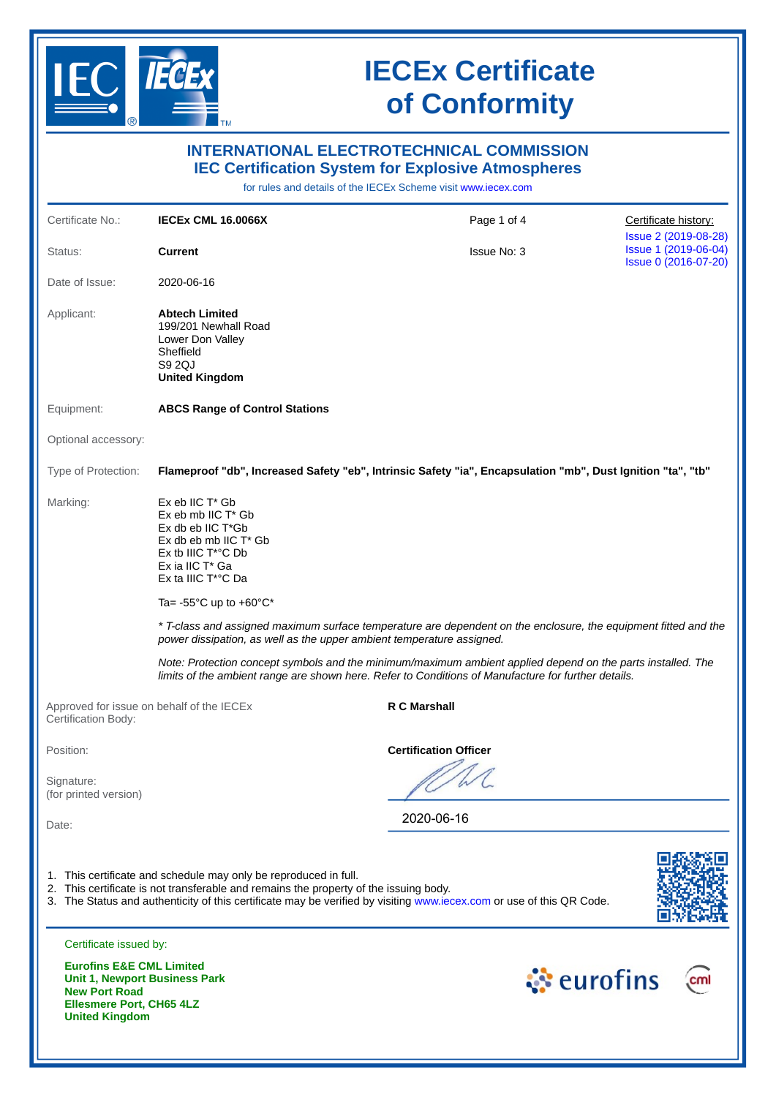

**United Kingdom**

## **IECEx Certificate of Conformity**

|                                                                                         |                                                                                                                                                                               | <b>INTERNATIONAL ELECTROTECHNICAL COMMISSION</b><br><b>IEC Certification System for Explosive Atmospheres</b><br>for rules and details of the IECEx Scheme visit www.iecex.com                                     |                                                                      |
|-----------------------------------------------------------------------------------------|-------------------------------------------------------------------------------------------------------------------------------------------------------------------------------|--------------------------------------------------------------------------------------------------------------------------------------------------------------------------------------------------------------------|----------------------------------------------------------------------|
| Certificate No.:                                                                        | <b>IECEX CML 16.0066X</b>                                                                                                                                                     | Page 1 of 4                                                                                                                                                                                                        | Certificate history:                                                 |
| Status:                                                                                 | <b>Current</b>                                                                                                                                                                | <b>Issue No: 3</b>                                                                                                                                                                                                 | Issue 2 (2019-08-28)<br>Issue 1 (2019-06-04)<br>Issue 0 (2016-07-20) |
| Date of Issue:                                                                          | 2020-06-16                                                                                                                                                                    |                                                                                                                                                                                                                    |                                                                      |
| Applicant:                                                                              | <b>Abtech Limited</b><br>199/201 Newhall Road<br>Lower Don Valley<br>Sheffield<br>S9 2QJ<br><b>United Kingdom</b>                                                             |                                                                                                                                                                                                                    |                                                                      |
| Equipment:                                                                              | <b>ABCS Range of Control Stations</b>                                                                                                                                         |                                                                                                                                                                                                                    |                                                                      |
| Optional accessory:                                                                     |                                                                                                                                                                               |                                                                                                                                                                                                                    |                                                                      |
| Type of Protection:                                                                     |                                                                                                                                                                               | Flameproof "db", Increased Safety "eb", Intrinsic Safety "ia", Encapsulation "mb", Dust Ignition "ta", "tb"                                                                                                        |                                                                      |
| Marking:                                                                                | $Ex$ eb IIC $T^*$ Gb<br>Ex eb mb IIC T* Gb<br>Ex db eb IIC T*Gb<br>Ex db eb mb IIC $T^*$ Gb<br>$Ex$ tb IIIC $T^*$ °C Db<br>Ex ia IIC T* Ga<br>Ex ta IIIC T <sup>*</sup> °C Da |                                                                                                                                                                                                                    |                                                                      |
|                                                                                         | Ta= $-55^{\circ}$ C up to $+60^{\circ}$ C*                                                                                                                                    |                                                                                                                                                                                                                    |                                                                      |
|                                                                                         |                                                                                                                                                                               | * T-class and assigned maximum surface temperature are dependent on the enclosure, the equipment fitted and the<br>power dissipation, as well as the upper ambient temperature assigned.                           |                                                                      |
|                                                                                         |                                                                                                                                                                               | Note: Protection concept symbols and the minimum/maximum ambient applied depend on the parts installed. The<br>limits of the ambient range are shown here. Refer to Conditions of Manufacture for further details. |                                                                      |
| Certification Body:                                                                     | Approved for issue on behalf of the IECEX                                                                                                                                     | <b>R C Marshall</b>                                                                                                                                                                                                |                                                                      |
| Position:                                                                               |                                                                                                                                                                               | <b>Certification Officer</b>                                                                                                                                                                                       |                                                                      |
| Signature:<br>(for printed version)                                                     |                                                                                                                                                                               |                                                                                                                                                                                                                    |                                                                      |
| Date:                                                                                   |                                                                                                                                                                               | 2020-06-16                                                                                                                                                                                                         |                                                                      |
|                                                                                         | 1. This certificate and schedule may only be reproduced in full.<br>2. This certificate is not transferable and remains the property of the issuing body.                     | 3. The Status and authenticity of this certificate may be verified by visiting www.iecex.com or use of this QR Code.                                                                                               |                                                                      |
| Certificate issued by:                                                                  |                                                                                                                                                                               |                                                                                                                                                                                                                    |                                                                      |
| <b>Eurofins E&amp;E CML Limited</b><br><b>New Port Road</b><br>Ellesmere Port, CH65 4LZ | Unit 1, Newport Business Park                                                                                                                                                 | ं eurofins                                                                                                                                                                                                         |                                                                      |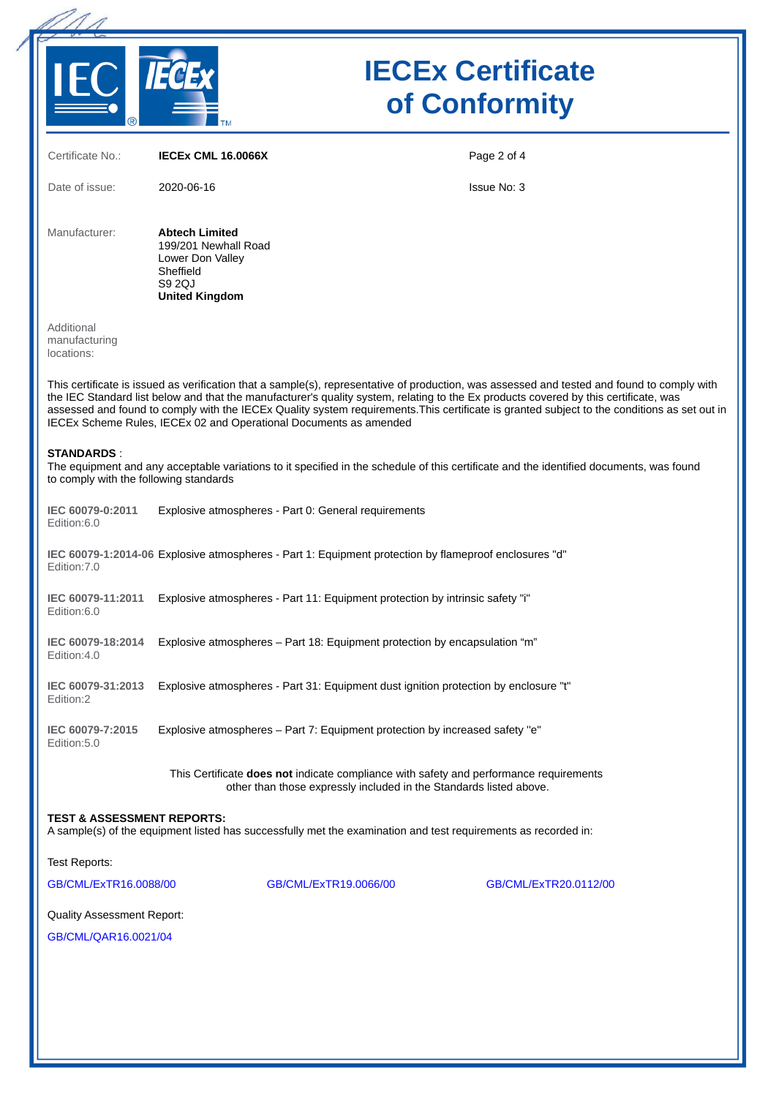

# **IECEx Certificate of Conformity**

| Certificate No.:                                            | <b>IECEX CML 16.0066X</b>                                                                                                                                                                                                                                                                                                                                                                                                                                                                                | Page 2 of 4           |
|-------------------------------------------------------------|----------------------------------------------------------------------------------------------------------------------------------------------------------------------------------------------------------------------------------------------------------------------------------------------------------------------------------------------------------------------------------------------------------------------------------------------------------------------------------------------------------|-----------------------|
| Date of issue:                                              | 2020-06-16                                                                                                                                                                                                                                                                                                                                                                                                                                                                                               | <b>Issue No: 3</b>    |
| Manufacturer:                                               | <b>Abtech Limited</b><br>199/201 Newhall Road<br>Lower Don Valley<br>Sheffield<br>S9 2QJ<br><b>United Kingdom</b>                                                                                                                                                                                                                                                                                                                                                                                        |                       |
| Additional<br>manufacturing<br>locations:                   |                                                                                                                                                                                                                                                                                                                                                                                                                                                                                                          |                       |
|                                                             | This certificate is issued as verification that a sample(s), representative of production, was assessed and tested and found to comply with<br>the IEC Standard list below and that the manufacturer's quality system, relating to the Ex products covered by this certificate, was<br>assessed and found to comply with the IECEx Quality system requirements. This certificate is granted subject to the conditions as set out in<br>IECEx Scheme Rules, IECEx 02 and Operational Documents as amended |                       |
| <b>STANDARDS:</b><br>to comply with the following standards | The equipment and any acceptable variations to it specified in the schedule of this certificate and the identified documents, was found                                                                                                                                                                                                                                                                                                                                                                  |                       |
| IEC 60079-0:2011<br>Edition:6.0                             | Explosive atmospheres - Part 0: General requirements                                                                                                                                                                                                                                                                                                                                                                                                                                                     |                       |
| Edition: 7.0                                                | IEC 60079-1:2014-06 Explosive atmospheres - Part 1: Equipment protection by flameproof enclosures "d"                                                                                                                                                                                                                                                                                                                                                                                                    |                       |
| IEC 60079-11:2011<br>Edition:6.0                            | Explosive atmospheres - Part 11: Equipment protection by intrinsic safety "i"                                                                                                                                                                                                                                                                                                                                                                                                                            |                       |
| IEC 60079-18:2014<br>Edition:4.0                            | Explosive atmospheres - Part 18: Equipment protection by encapsulation "m"                                                                                                                                                                                                                                                                                                                                                                                                                               |                       |
| IEC 60079-31:2013<br>Edition:2                              | Explosive atmospheres - Part 31: Equipment dust ignition protection by enclosure "t"                                                                                                                                                                                                                                                                                                                                                                                                                     |                       |
| IEC 60079-7:2015<br>Edition: 5.0                            | Explosive atmospheres - Part 7: Equipment protection by increased safety "e"                                                                                                                                                                                                                                                                                                                                                                                                                             |                       |
|                                                             | This Certificate does not indicate compliance with safety and performance requirements<br>other than those expressly included in the Standards listed above.                                                                                                                                                                                                                                                                                                                                             |                       |
| <b>TEST &amp; ASSESSMENT REPORTS:</b>                       | A sample(s) of the equipment listed has successfully met the examination and test requirements as recorded in:                                                                                                                                                                                                                                                                                                                                                                                           |                       |
| <b>Test Reports:</b>                                        |                                                                                                                                                                                                                                                                                                                                                                                                                                                                                                          |                       |
| GB/CML/ExTR16.0088/00                                       | GB/CML/ExTR19.0066/00                                                                                                                                                                                                                                                                                                                                                                                                                                                                                    | GB/CML/ExTR20.0112/00 |
| Quality Assessment Report:                                  |                                                                                                                                                                                                                                                                                                                                                                                                                                                                                                          |                       |
| GB/CML/QAR16.0021/04                                        |                                                                                                                                                                                                                                                                                                                                                                                                                                                                                                          |                       |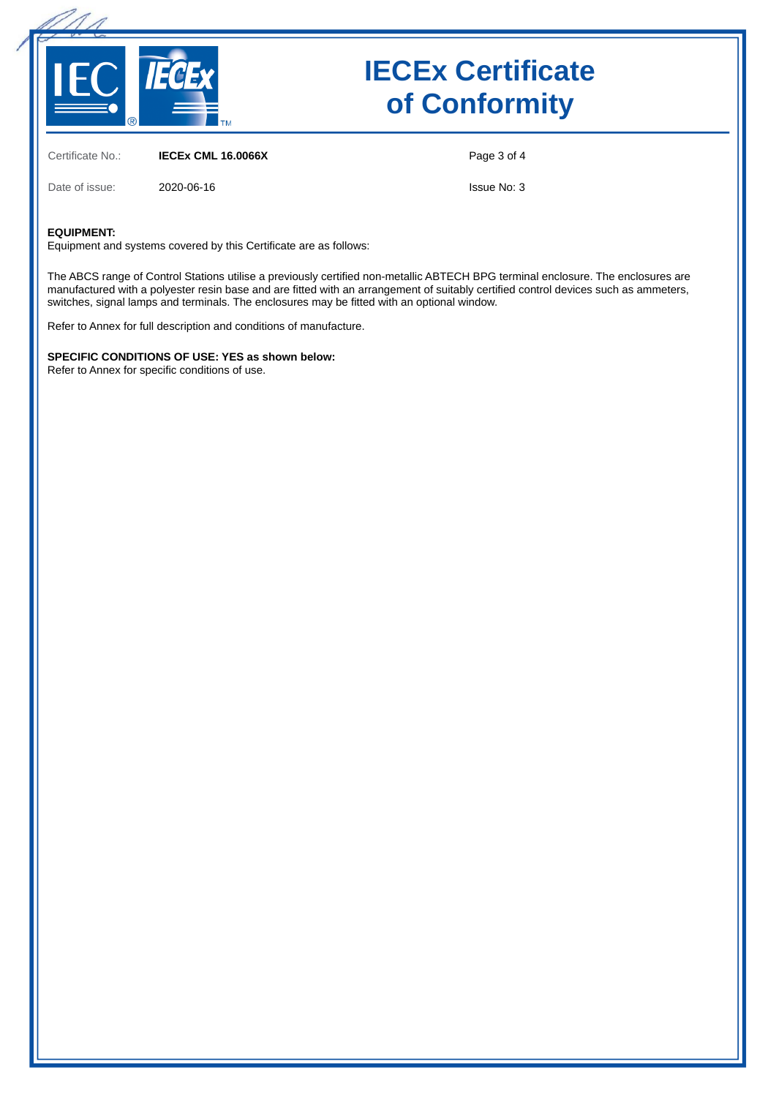

# **IECEx Certificate of Conformity**

Certificate No.: **IECEx CML 16.0066X**

Date of issue: 2020-06-16

Page 3 of 4

Issue No: 3

#### **EQUIPMENT:**

Equipment and systems covered by this Certificate are as follows:

The ABCS range of Control Stations utilise a previously certified non-metallic ABTECH BPG terminal enclosure. The enclosures are manufactured with a polyester resin base and are fitted with an arrangement of suitably certified control devices such as ammeters, switches, signal lamps and terminals. The enclosures may be fitted with an optional window.

Refer to Annex for full description and conditions of manufacture.

**SPECIFIC CONDITIONS OF USE: YES as shown below:** Refer to Annex for specific conditions of use.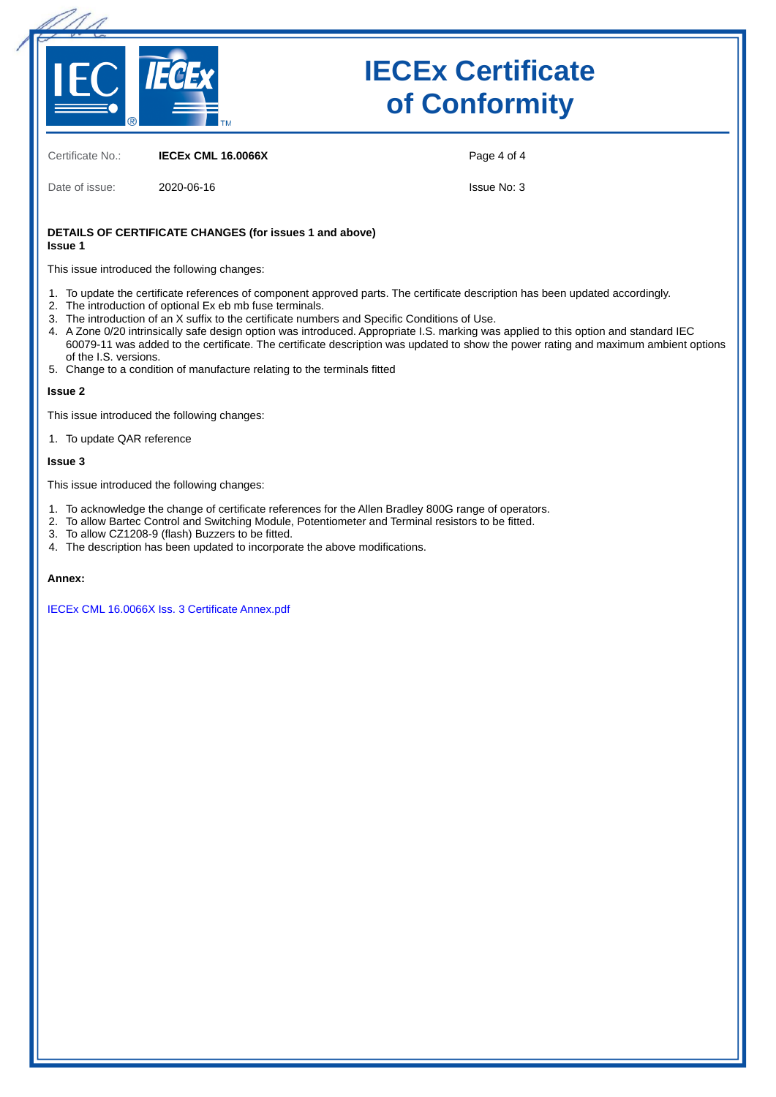

# **IECEx Certificate of Conformity**

Certificate No.: **IECEx CML 16.0066X**

Date of issue: 2020-06-16

Page 4 of 4

Issue No: 3

#### **DETAILS OF CERTIFICATE CHANGES (for issues 1 and above) Issue 1**

This issue introduced the following changes:

- 1. To update the certificate references of component approved parts. The certificate description has been updated accordingly.
- 2. The introduction of optional Ex eb mb fuse terminals.
- 3. The introduction of an X suffix to the certificate numbers and Specific Conditions of Use.
- 4. A Zone 0/20 intrinsically safe design option was introduced. Appropriate I.S. marking was applied to this option and standard IEC 60079-11 was added to the certificate. The certificate description was updated to show the power rating and maximum ambient options of the I.S. versions.
- 5. Change to a condition of manufacture relating to the terminals fitted

#### **Issue 2**

This issue introduced the following changes:

1. To update QAR reference

#### **Issue 3**

This issue introduced the following changes:

- 1. To acknowledge the change of certificate references for the Allen Bradley 800G range of operators.
- 2. To allow Bartec Control and Switching Module, Potentiometer and Terminal resistors to be fitted.
- 3. To allow CZ1208-9 (flash) Buzzers to be fitted.
- 4. The description has been updated to incorporate the above modifications.

#### **Annex:**

[IECEx CML 16.0066X Iss. 3 Certificate Annex.pdf](https://www.iecex-certs.com/deliverables/CERT/48046/view)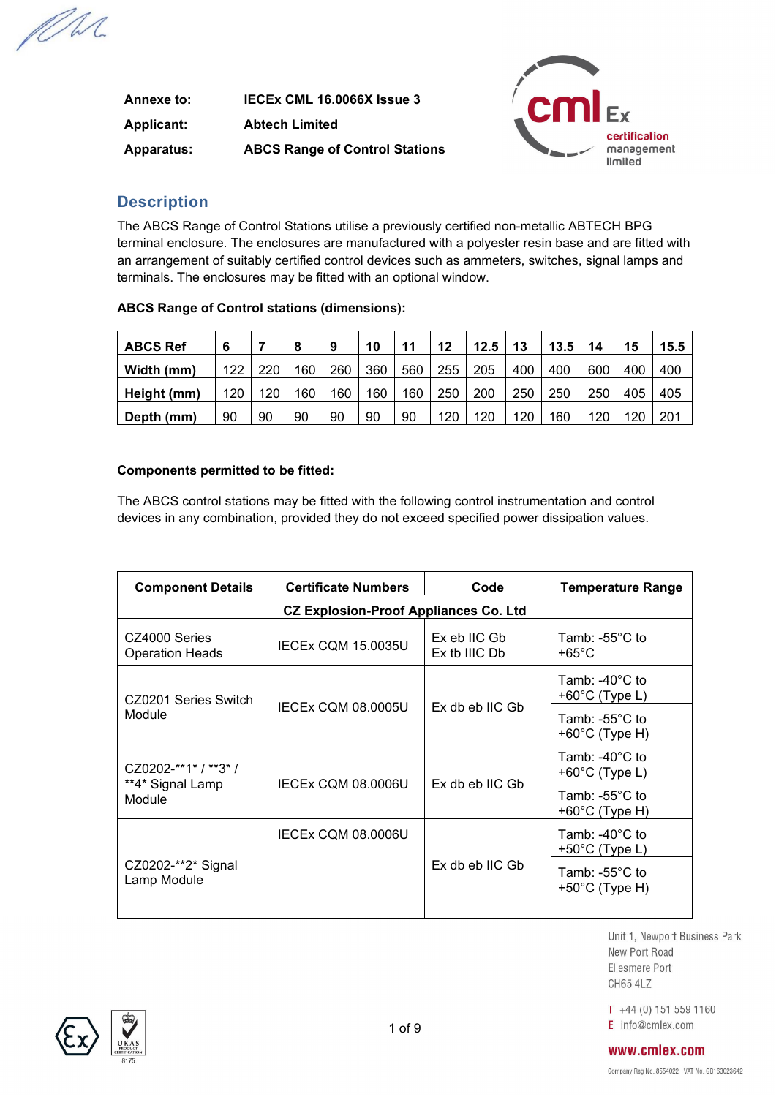MM

| Annexe to:        | IECEX CML 16.0066X Issue 3            |
|-------------------|---------------------------------------|
| <b>Applicant:</b> | <b>Abtech Limited</b>                 |
| <b>Apparatus:</b> | <b>ABCS Range of Control Stations</b> |



## **Description**

The ABCS Range of Control Stations utilise a previously certified non-metallic ABTECH BPG terminal enclosure. The enclosures are manufactured with a polyester resin base and are fitted with an arrangement of suitably certified control devices such as ammeters, switches, signal lamps and terminals. The enclosures may be fitted with an optional window.

| <b>ABCS Ref</b> | 6   |     | 8   | 9   | 10  | 11  | 12  | 12.5 | 13  | 13.5 | 14  | 15  | 15.5 |
|-----------------|-----|-----|-----|-----|-----|-----|-----|------|-----|------|-----|-----|------|
| Width (mm)      | 122 | 220 | 160 | 260 | 360 | 560 | 255 | 205  | 400 | 400  | 600 | 400 | 400  |
| Height (mm)     | 120 | 120 | 160 | 160 | 160 | 160 | 250 | 200  | 250 | 250  | 250 | 405 | 405  |
| Depth (mm)      | 90  | 90  | 90  | 90  | 90  | 90  | 120 | 120  | 120 | 160  | 120 | 120 | 201  |

### **ABCS Range of Control stations (dimensions):**

### **Components permitted to be fitted:**

The ABCS control stations may be fitted with the following control instrumentation and control devices in any combination, provided they do not exceed specified power dissipation values.

| <b>Component Details</b>                | <b>Certificate Numbers</b>                   | Code                          | <b>Temperature Range</b>                              |
|-----------------------------------------|----------------------------------------------|-------------------------------|-------------------------------------------------------|
|                                         | <b>CZ Explosion-Proof Appliances Co. Ltd</b> |                               |                                                       |
| CZ4000 Series<br><b>Operation Heads</b> | <b>IECEX CQM 15.0035U</b>                    | Ex eb IIC Gb<br>Ex tb IIIC Db | Tamb: -55 $^{\circ}$ C to<br>+65 $^{\circ}$ C         |
| CZ0201 Series Switch                    |                                              |                               | Tamb: -40°C to<br>+60 $°C$ (Type L)                   |
| Module                                  | <b>IECEX COM 08.0005U</b>                    | Ex db eb IIC Gb               | Tamb: -55 $^{\circ}$ C to<br>+60 $°C$ (Type H)        |
| CZ0202-**1* / **3* /                    |                                              |                               | Tamb: -40 $^{\circ}$ C to<br>+60 $°C$ (Type L)        |
| **4* Signal Lamp<br>Module              | <b>IECEX COM 08.0006U</b>                    | Ex db eb IIC Gb               | Tamb: -55 $^{\circ}$ C to<br>+60°C (Type H)           |
|                                         | <b>IECEX CQM 08.0006U</b>                    |                               | Tamb: -40 $^{\circ}$ C to<br>$+50^{\circ}$ C (Type L) |
| CZ0202-**2* Signal<br>Lamp Module       |                                              | Ex db eb IIC Gb               | Tamb: -55 $^{\circ}$ C to<br>$+50^{\circ}$ C (Type H) |

Unit 1. Newport Business Park New Port Road Ellesmere Port **CH65 4LZ** 

 $T +44(0) 151 559 1160$ E info@cmlex.com



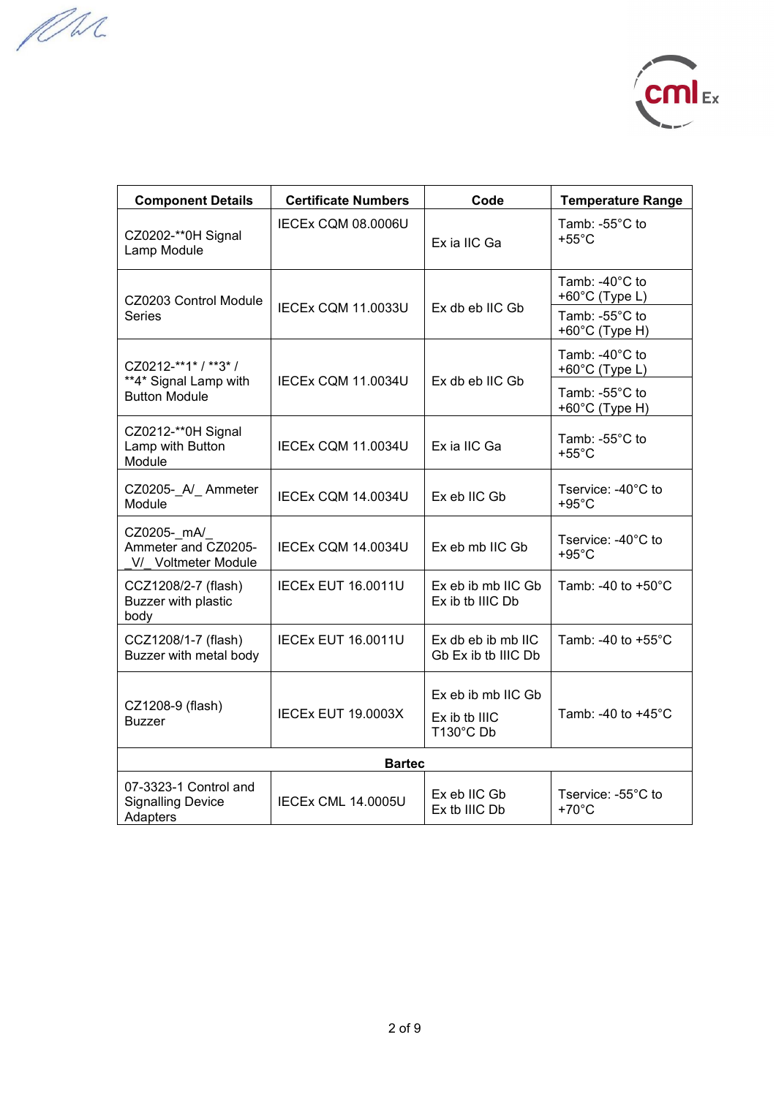MM



| <b>Component Details</b><br><b>Certificate Numbers</b>        |                           | Code                                        | <b>Temperature Range</b>                   |
|---------------------------------------------------------------|---------------------------|---------------------------------------------|--------------------------------------------|
| IECEx CQM 08.0006U<br>CZ0202-**0H Signal<br>Lamp Module       |                           | Ex ia IIC Ga                                | Tamb: -55°C to<br>$+55^{\circ}$ C          |
| CZ0203 Control Module                                         |                           |                                             | Tamb: -40°C to<br>+60°C (Type L)           |
| <b>Series</b>                                                 | <b>IECEx CQM 11.0033U</b> | Ex db eb IIC Gb                             | Tamb: -55°C to<br>+60°C (Type H)           |
| CZ0212-**1* / **3* /                                          |                           |                                             | Tamb: -40°C to<br>+60 $°C$ (Type L)        |
| **4* Signal Lamp with<br><b>Button Module</b>                 | IECEx CQM 11.0034U        | Ex db eb IIC Gb                             | Tamb: $-55^{\circ}$ C to<br>+60°C (Type H) |
| CZ0212-**0H Signal<br>Lamp with Button<br>Module              | IECEx CQM 11.0034U        | Ex ia IIC Ga                                | Tamb: -55°C to<br>$+55^{\circ}$ C          |
| CZ0205- A/ Ammeter<br>Module                                  | IECEx CQM 14.0034U        | Ex eb IIC Gb                                | Tservice: -40°C to<br>$+95^{\circ}$ C      |
| CZ0205- mA/<br>Ammeter and CZ0205-<br>V/ Voltmeter Module     | <b>IECEX CQM 14.0034U</b> | Ex eb mb IIC Gb                             | Tservice: -40°C to<br>$+95^{\circ}$ C      |
| CCZ1208/2-7 (flash)<br>Buzzer with plastic<br>body            | <b>IECEX EUT 16.0011U</b> | Ex eb ib mb IIC Gb<br>Ex ib tb IIIC Db      | Tamb: -40 to +50°C                         |
| CCZ1208/1-7 (flash)<br>Buzzer with metal body                 | <b>IECEX EUT 16.0011U</b> | $Ex$ db eb ib mb IIC<br>Gb Ex ib tb IIIC Db | Tamb: -40 to +55°C                         |
|                                                               |                           | Ex eb ib mb IIC Gb                          |                                            |
| CZ1208-9 (flash)<br><b>Buzzer</b>                             | <b>IECEX EUT 19.0003X</b> | Ex ib tb IIIC<br>T130°C Db                  | Tamb: -40 to +45°C                         |
|                                                               | <b>Bartec</b>             |                                             |                                            |
| 07-3323-1 Control and<br><b>Signalling Device</b><br>Adapters | <b>IECEX CML 14.0005U</b> | Ex eb IIC Gb<br>Ex tb IIIC Db               | Tservice: -55°C to<br>$+70^{\circ}$ C      |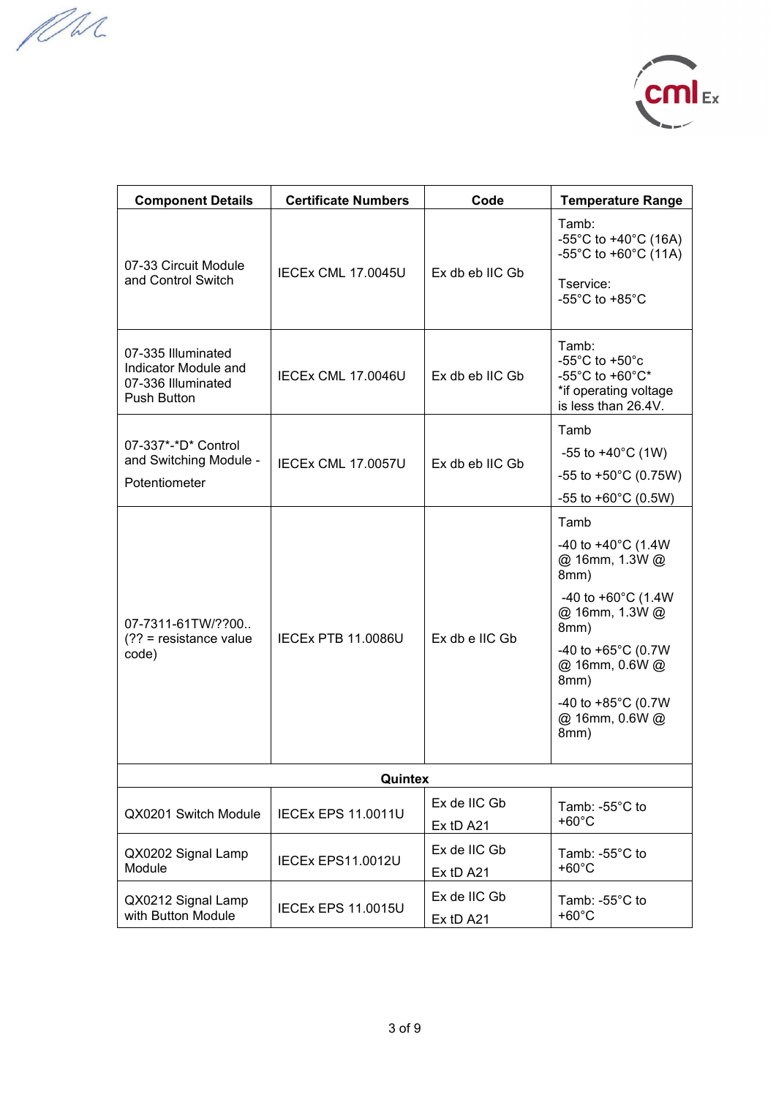MM



| <b>Component Details</b>                                                               | <b>Certificate Numbers</b> | Code                      | <b>Temperature Range</b>                                                                                                                                                                                                                         |
|----------------------------------------------------------------------------------------|----------------------------|---------------------------|--------------------------------------------------------------------------------------------------------------------------------------------------------------------------------------------------------------------------------------------------|
| 07-33 Circuit Module<br>and Control Switch                                             | IECEX CML 17.0045U         | Ex db eb IIC Gb           | Tamb:<br>-55°C to +40°C (16A)<br>-55°C to +60°C (11A)<br>Tservice:<br>-55 $^{\circ}$ C to +85 $^{\circ}$ C                                                                                                                                       |
| 07-335 Illuminated<br>Indicator Module and<br>07-336 Illuminated<br><b>Push Button</b> | IECEX CML 17.0046U         | $Ex$ db eb IIC Gb         | Tamb:<br>-55 $^{\circ}$ C to +50 $^{\circ}$ c<br>-55 $^{\circ}$ C to +60 $^{\circ}$ C*<br>*if operating voltage<br>is less than 26.4V.                                                                                                           |
| 07-337*-*D* Control<br>and Switching Module -<br>Potentiometer                         | <b>IECEX CML 17,0057U</b>  | Ex db eb IIC Gb           | Tamb<br>-55 to $+40^{\circ}$ C (1W)<br>-55 to +50 $^{\circ}$ C (0.75W)<br>-55 to +60 $^{\circ}$ C (0.5W)                                                                                                                                         |
| 07-7311-61TW/??00<br>$(?? = resistance value$<br>code)                                 | <b>IECEX PTB 11,0086U</b>  | Ex db e IIC Gb            | Tamb<br>-40 to +40 $^{\circ}$ C (1.4W<br>@ 16mm, 1.3W @<br>8mm)<br>-40 to +60 $^{\circ}$ C (1.4W<br>@ 16mm, 1.3W @<br>8mm)<br>-40 to +65 $^{\circ}$ C (0.7W<br>@ 16mm, 0.6W @<br>8mm)<br>-40 to +85 $^{\circ}$ C (0.7W<br>@ 16mm, 0.6W @<br>8mm) |
|                                                                                        | Quintex                    |                           |                                                                                                                                                                                                                                                  |
| QX0201 Switch Module                                                                   | <b>IECEX EPS 11.0011U</b>  | Ex de IIC Gb<br>Ex tD A21 | Tamb: $-55^{\circ}$ C to<br>$+60^{\circ}$ C                                                                                                                                                                                                      |
| QX0202 Signal Lamp<br>Module                                                           | IECEx EPS11.0012U          | Ex de IIC Gb<br>Ex tD A21 | Tamb: $-55^{\circ}$ C to<br>$+60^{\circ}$ C                                                                                                                                                                                                      |
| QX0212 Signal Lamp<br>with Button Module                                               | <b>IECEX EPS 11.0015U</b>  | Ex de IIC Gb<br>Ex tD A21 | Tamb: $-55^{\circ}$ C to<br>$+60^{\circ}$ C                                                                                                                                                                                                      |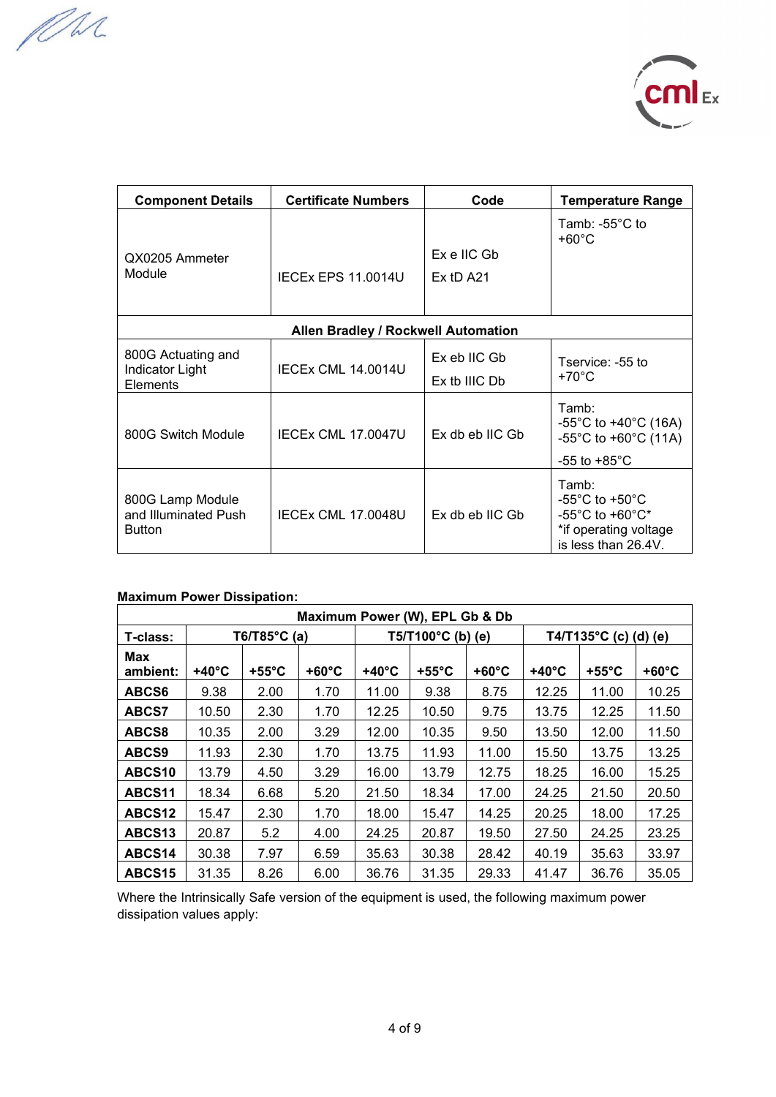MM



| <b>Certificate Numbers</b><br><b>Component Details</b>    |                                     | Code                          | <b>Temperature Range</b>                                                                                                             |
|-----------------------------------------------------------|-------------------------------------|-------------------------------|--------------------------------------------------------------------------------------------------------------------------------------|
| QX0205 Ammeter<br>Module<br><b>IECEX EPS 11,0014U</b>     |                                     | $Ex$ e IIC Gb<br>$Ex$ tD A21  | Tamb: -55 $^{\circ}$ C to<br>$+60^{\circ}$ C                                                                                         |
|                                                           | Allen Bradley / Rockwell Automation |                               |                                                                                                                                      |
| 800G Actuating and<br>Indicator Light<br>Elements         | <b>IECEX CML 14.0014U</b>           | Ex eb IIC Gb<br>Ex tb IIIC Db | Tservice: -55 to<br>+70°C                                                                                                            |
| 800G Switch Module                                        | <b>IECEX CML 17.0047U</b>           | Ex db eb IIC Gb               | Tamb:<br>-55°C to +40°C (16A)<br>-55°C to +60°C (11A)<br>-55 to +85 $^{\circ}$ C                                                     |
| 800G Lamp Module<br>and Illuminated Push<br><b>Button</b> | IECEX CML 17.0048U                  | Ex db eb IIC Gb               | Tamb:<br>-55 $^{\circ}$ C to +50 $^{\circ}$ C<br>$-55^{\circ}$ C to $+60^{\circ}$ C*<br>*if operating voltage<br>is less than 26.4V. |

### **Maximum Power Dissipation:**

| Maximum Power (W), EPL Gb & Db |                 |                         |                 |                            |                 |                 |                                  |                 |                 |
|--------------------------------|-----------------|-------------------------|-----------------|----------------------------|-----------------|-----------------|----------------------------------|-----------------|-----------------|
| T-class:                       |                 | T6/T85 $^{\circ}$ C (a) |                 | $T5/T100^{\circ}C$ (b) (e) |                 |                 | T4/T135 $^{\circ}$ C (c) (d) (e) |                 |                 |
| Max<br>ambient:                | $+40^{\circ}$ C | $+55^{\circ}$ C         | $+60^{\circ}$ C | $+40^{\circ}$ C            | $+55^{\circ}$ C | $+60^{\circ}$ C | $+40^{\circ}$ C                  | $+55^{\circ}$ C | $+60^{\circ}$ C |
| ABCS6                          | 9.38            | 2.00                    | 1.70            | 11.00                      | 9.38            | 8.75            | 12.25                            | 11.00           | 10.25           |
| <b>ABCS7</b>                   | 10.50           | 2.30                    | 1.70            | 12.25                      | 10.50           | 9.75            | 13.75                            | 12.25           | 11.50           |
| ABCS8                          | 10.35           | 2.00                    | 3.29            | 12.00                      | 10.35           | 9.50            | 13.50                            | 12.00           | 11.50           |
| ABCS9                          | 11.93           | 2.30                    | 1.70            | 13.75                      | 11.93           | 11.00           | 15.50                            | 13.75           | 13.25           |
| ABCS <sub>10</sub>             | 13.79           | 4.50                    | 3.29            | 16.00                      | 13.79           | 12.75           | 18.25                            | 16.00           | 15.25           |
| ABCS11                         | 18.34           | 6.68                    | 5.20            | 21.50                      | 18.34           | 17.00           | 24.25                            | 21.50           | 20.50           |
| ABCS <sub>12</sub>             | 15.47           | 2.30                    | 1.70            | 18.00                      | 15.47           | 14.25           | 20.25                            | 18.00           | 17.25           |
| ABCS <sub>13</sub>             | 20.87           | 5.2                     | 4.00            | 24.25                      | 20.87           | 19.50           | 27.50                            | 24.25           | 23.25           |
| ABCS14                         | 30.38           | 7.97                    | 6.59            | 35.63                      | 30.38           | 28.42           | 40.19                            | 35.63           | 33.97           |
| ABCS15                         | 31.35           | 8.26                    | 6.00            | 36.76                      | 31.35           | 29.33           | 41.47                            | 36.76           | 35.05           |

Where the Intrinsically Safe version of the equipment is used, the following maximum power dissipation values apply: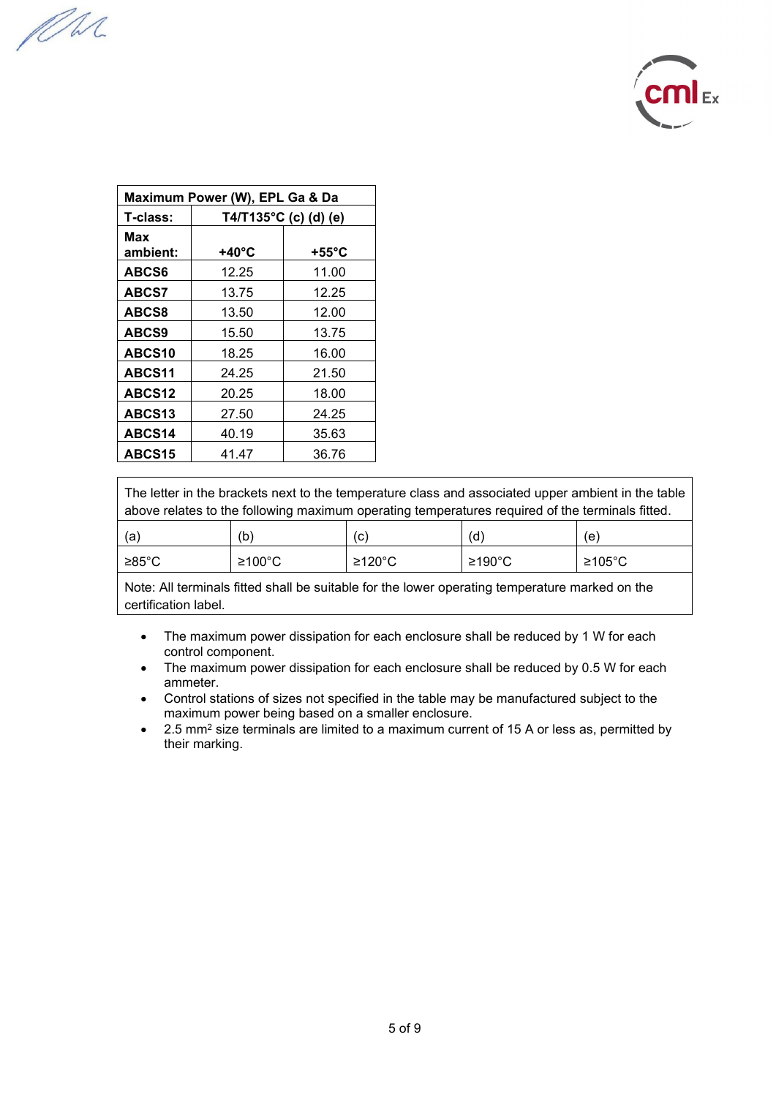MM



| Maximum Power (W), EPL Ga & Da |                                    |       |  |  |  |  |  |
|--------------------------------|------------------------------------|-------|--|--|--|--|--|
| T-class:                       | T4/T135°C (c) (d) (e)              |       |  |  |  |  |  |
| Max<br>ambient:                | $+55^{\circ}$ C<br>$+40^{\circ}$ C |       |  |  |  |  |  |
| ABCS6                          | 12.25                              | 11.00 |  |  |  |  |  |
| <b>ABCS7</b>                   | 13.75                              | 12.25 |  |  |  |  |  |
| ABCS8                          | 13.50                              | 12.00 |  |  |  |  |  |
| ABCS9                          | 15.50                              | 13.75 |  |  |  |  |  |
| ABCS10                         | 18.25                              | 16.00 |  |  |  |  |  |
| ABCS11                         | 24.25                              | 21.50 |  |  |  |  |  |
| ABCS <sub>12</sub>             | 20.25                              | 18.00 |  |  |  |  |  |
| ABCS13                         | 27.50                              | 24.25 |  |  |  |  |  |
| ABCS14                         | 40.19                              | 35.63 |  |  |  |  |  |
| ABCS15                         | 41.47                              | 36.76 |  |  |  |  |  |

The letter in the brackets next to the temperature class and associated upper ambient in the table above relates to the following maximum operating temperatures required of the terminals fitted.

| (a              | (b)    | (C)      | (d)    | 'e۱      |
|-----------------|--------|----------|--------|----------|
| $≥85^{\circ}$ C | ≥100°C | $≥120°C$ | ≥190°C | $≥105°C$ |

Note: All terminals fitted shall be suitable for the lower operating temperature marked on the certification label.

- The maximum power dissipation for each enclosure shall be reduced by 1 W for each control component.
- The maximum power dissipation for each enclosure shall be reduced by 0.5 W for each ammeter.
- Control stations of sizes not specified in the table may be manufactured subject to the maximum power being based on a smaller enclosure.
- 2.5 mm<sup>2</sup> size terminals are limited to a maximum current of 15 A or less as, permitted by their marking.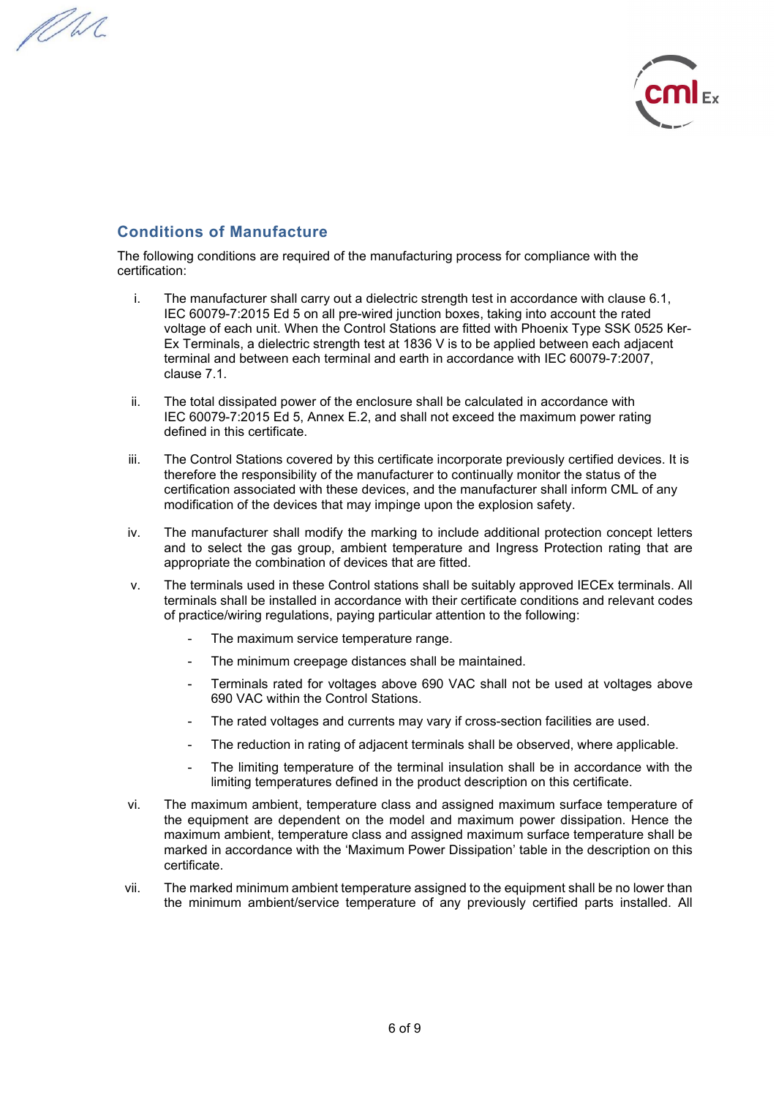PM.



### **Conditions of Manufacture**

The following conditions are required of the manufacturing process for compliance with the certification:

- i. The manufacturer shall carry out a dielectric strength test in accordance with clause 6.1, IEC 60079-7:2015 Ed 5 on all pre-wired junction boxes, taking into account the rated voltage of each unit. When the Control Stations are fitted with Phoenix Type SSK 0525 Ker-Ex Terminals, a dielectric strength test at 1836 V is to be applied between each adjacent terminal and between each terminal and earth in accordance with IEC 60079-7:2007, clause 7.1.
- ii. The total dissipated power of the enclosure shall be calculated in accordance with IEC 60079-7:2015 Ed 5, Annex E.2, and shall not exceed the maximum power rating defined in this certificate.
- iii. The Control Stations covered by this certificate incorporate previously certified devices. It is therefore the responsibility of the manufacturer to continually monitor the status of the certification associated with these devices, and the manufacturer shall inform CML of any modification of the devices that may impinge upon the explosion safety.
- iv. The manufacturer shall modify the marking to include additional protection concept letters and to select the gas group, ambient temperature and Ingress Protection rating that are appropriate the combination of devices that are fitted.
- v. The terminals used in these Control stations shall be suitably approved IECEx terminals. All terminals shall be installed in accordance with their certificate conditions and relevant codes of practice/wiring regulations, paying particular attention to the following:
	- The maximum service temperature range.
	- The minimum creepage distances shall be maintained.
	- Terminals rated for voltages above 690 VAC shall not be used at voltages above 690 VAC within the Control Stations.
	- The rated voltages and currents may vary if cross-section facilities are used.
	- The reduction in rating of adjacent terminals shall be observed, where applicable.
	- The limiting temperature of the terminal insulation shall be in accordance with the limiting temperatures defined in the product description on this certificate.
- vi. The maximum ambient, temperature class and assigned maximum surface temperature of the equipment are dependent on the model and maximum power dissipation. Hence the maximum ambient, temperature class and assigned maximum surface temperature shall be marked in accordance with the 'Maximum Power Dissipation' table in the description on this certificate.
- vii. The marked minimum ambient temperature assigned to the equipment shall be no lower than the minimum ambient/service temperature of any previously certified parts installed. All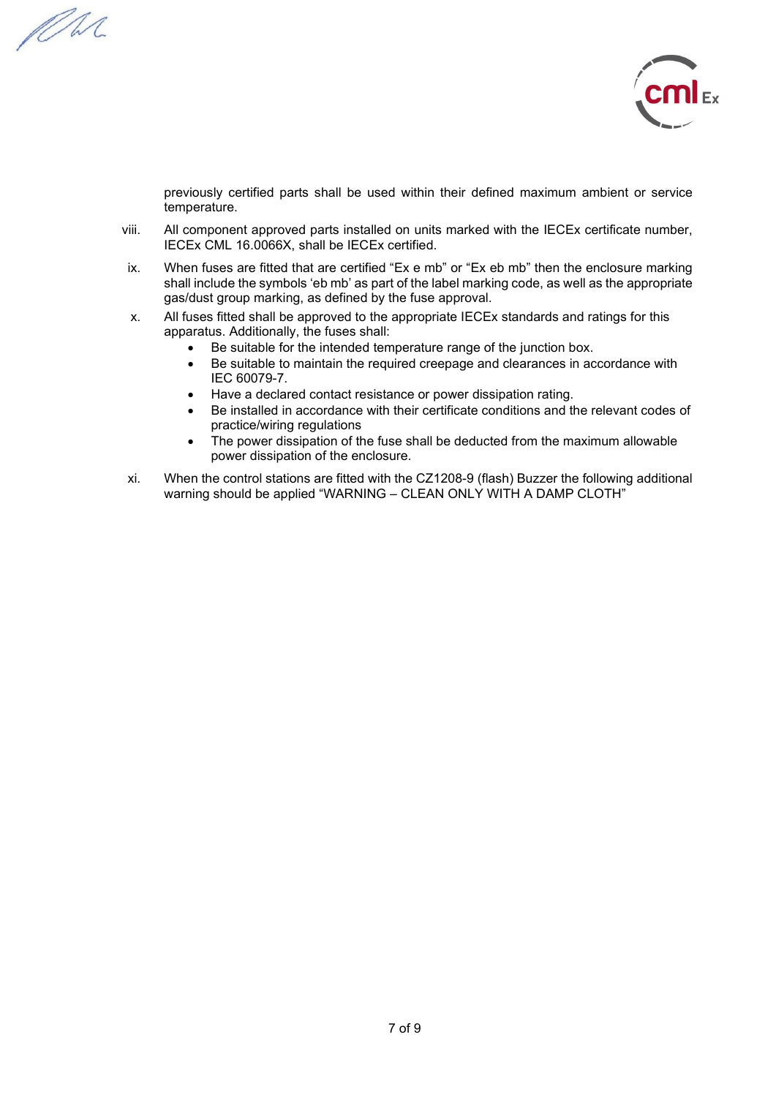PM.



previously certified parts shall be used within their defined maximum ambient or service temperature.

- viii. All component approved parts installed on units marked with the IECEx certificate number, IECEx CML 16.0066X, shall be IECEx certified.
- ix. When fuses are fitted that are certified "Ex e mb" or "Ex eb mb" then the enclosure marking shall include the symbols 'eb mb' as part of the label marking code, as well as the appropriate gas/dust group marking, as defined by the fuse approval.
- x. All fuses fitted shall be approved to the appropriate IECEx standards and ratings for this apparatus. Additionally, the fuses shall:
	- Be suitable for the intended temperature range of the junction box.
	- Be suitable to maintain the required creepage and clearances in accordance with IEC 60079-7.
	- Have a declared contact resistance or power dissipation rating.
	- Be installed in accordance with their certificate conditions and the relevant codes of practice/wiring regulations
	- The power dissipation of the fuse shall be deducted from the maximum allowable power dissipation of the enclosure.
- xi. When the control stations are fitted with the CZ1208-9 (flash) Buzzer the following additional warning should be applied "WARNING – CLEAN ONLY WITH A DAMP CLOTH"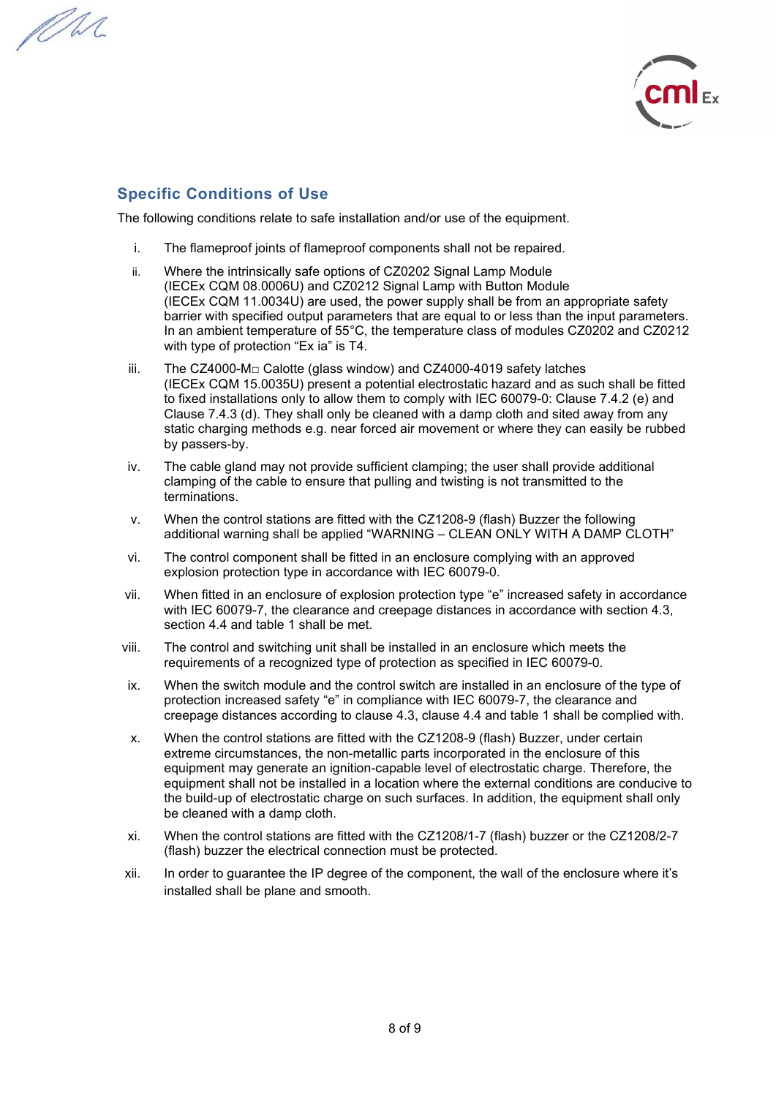PM.



## **Specific Conditions of Use**

The following conditions relate to safe installation and/or use of the equipment.

- i. The flameproof joints of flameproof components shall not be repaired.
- ii. Where the intrinsically safe options of CZ0202 Signal Lamp Module (IECEx CQM 08.0006U) and CZ0212 Signal Lamp with Button Module (IECEx CQM 11.0034U) are used, the power supply shall be from an appropriate safety barrier with specified output parameters that are equal to or less than the input parameters. In an ambient temperature of 55°C, the temperature class of modules CZ0202 and CZ0212 with type of protection "Ex ia" is T4.
- iii. The CZ4000-M□ Calotte (glass window) and CZ4000-4019 safety latches (IECEx CQM 15.0035U) present a potential electrostatic hazard and as such shall be fitted to fixed installations only to allow them to comply with IEC 60079-0: Clause 7.4.2 (e) and Clause 7.4.3 (d). They shall only be cleaned with a damp cloth and sited away from any static charging methods e.g. near forced air movement or where they can easily be rubbed by passers-by.
- iv. The cable gland may not provide sufficient clamping; the user shall provide additional clamping of the cable to ensure that pulling and twisting is not transmitted to the terminations.
- v. When the control stations are fitted with the CZ1208-9 (flash) Buzzer the following additional warning shall be applied "WARNING – CLEAN ONLY WITH A DAMP CLOTH"
- vi. The control component shall be fitted in an enclosure complying with an approved explosion protection type in accordance with IEC 60079-0.
- vii. When fitted in an enclosure of explosion protection type "e" increased safety in accordance with IEC 60079-7, the clearance and creepage distances in accordance with section 4.3, section 4.4 and table 1 shall be met.
- viii. The control and switching unit shall be installed in an enclosure which meets the requirements of a recognized type of protection as specified in IEC 60079-0.
- ix. When the switch module and the control switch are installed in an enclosure of the type of protection increased safety "e" in compliance with IEC 60079-7, the clearance and creepage distances according to clause 4.3, clause 4.4 and table 1 shall be complied with.
- x. When the control stations are fitted with the CZ1208-9 (flash) Buzzer, under certain extreme circumstances, the non-metallic parts incorporated in the enclosure of this equipment may generate an ignition-capable level of electrostatic charge. Therefore, the equipment shall not be installed in a location where the external conditions are conducive to the build-up of electrostatic charge on such surfaces. In addition, the equipment shall only be cleaned with a damp cloth.
- xi. When the control stations are fitted with the CZ1208/1-7 (flash) buzzer or the CZ1208/2-7 (flash) buzzer the electrical connection must be protected.
- xii. In order to guarantee the IP degree of the component, the wall of the enclosure where it's installed shall be plane and smooth.